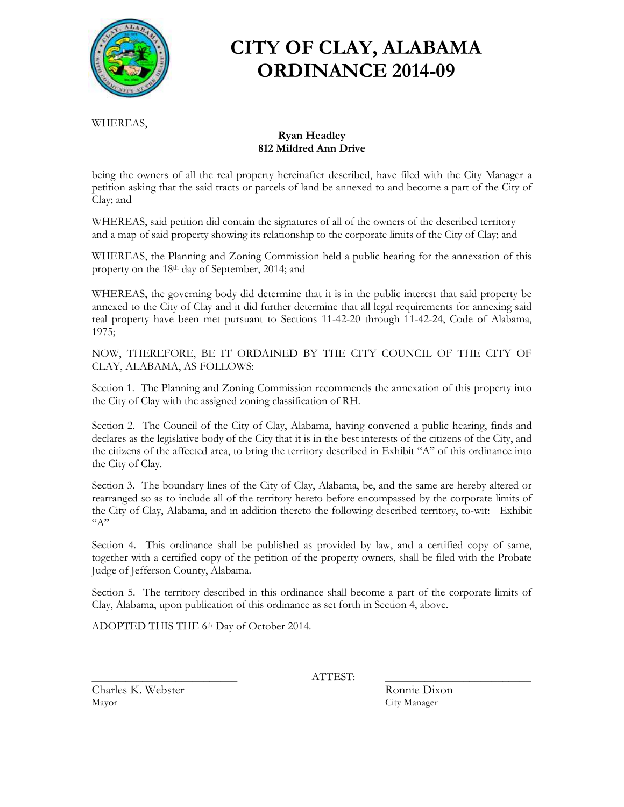

# **CITY OF CLAY, ALABAMA ORDINANCE 2014-09**

WHEREAS,

#### **Ryan Headley 812 Mildred Ann Drive**

being the owners of all the real property hereinafter described, have filed with the City Manager a petition asking that the said tracts or parcels of land be annexed to and become a part of the City of Clay; and

WHEREAS, said petition did contain the signatures of all of the owners of the described territory and a map of said property showing its relationship to the corporate limits of the City of Clay; and

WHEREAS, the Planning and Zoning Commission held a public hearing for the annexation of this property on the 18th day of September, 2014; and

WHEREAS, the governing body did determine that it is in the public interest that said property be annexed to the City of Clay and it did further determine that all legal requirements for annexing said real property have been met pursuant to Sections 11-42-20 through 11-42-24, Code of Alabama, 1975;

NOW, THEREFORE, BE IT ORDAINED BY THE CITY COUNCIL OF THE CITY OF CLAY, ALABAMA, AS FOLLOWS:

Section 1. The Planning and Zoning Commission recommends the annexation of this property into the City of Clay with the assigned zoning classification of RH.

Section 2. The Council of the City of Clay, Alabama, having convened a public hearing, finds and declares as the legislative body of the City that it is in the best interests of the citizens of the City, and the citizens of the affected area, to bring the territory described in Exhibit "A" of this ordinance into the City of Clay.

Section 3. The boundary lines of the City of Clay, Alabama, be, and the same are hereby altered or rearranged so as to include all of the territory hereto before encompassed by the corporate limits of the City of Clay, Alabama, and in addition thereto the following described territory, to-wit: Exhibit  ${}^{\alpha}A"$ 

Section 4. This ordinance shall be published as provided by law, and a certified copy of same, together with a certified copy of the petition of the property owners, shall be filed with the Probate Judge of Jefferson County, Alabama.

Section 5. The territory described in this ordinance shall become a part of the corporate limits of Clay, Alabama, upon publication of this ordinance as set forth in Section 4, above.

ADOPTED THIS THE 6th Day of October 2014.

\_\_\_\_\_\_\_\_\_\_\_\_\_\_\_\_\_\_\_\_\_\_\_\_\_\_ ATTEST: \_\_\_\_\_\_\_\_\_\_\_\_\_\_\_\_\_\_\_\_\_\_\_\_\_\_

Charles K. Webster Ronnie Dixon Mayor City Manager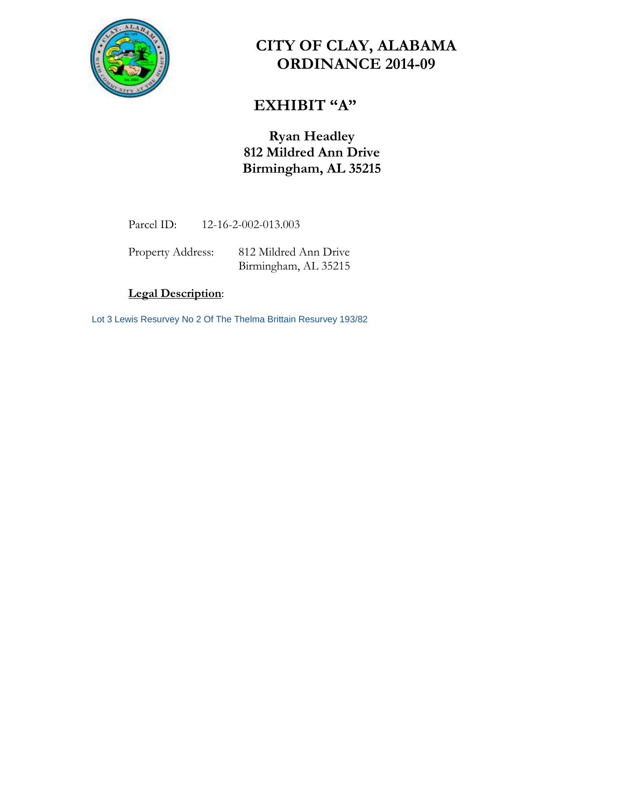

# **CITY OF CLAY, ALABAMA ORDINANCE 2014-09**

## **EXHIBIT "A"**

### **Ryan Headley 812 Mildred Ann Drive Birmingham, AL 35215**

Parcel ID: 12-16-2-002-013.003

Property Address: 812 Mildred Ann Drive Birmingham, AL 35215

### **Legal Description**:

Lot 3 Lewis Resurvey No 2 Of The Thelma Brittain Resurvey 193/82